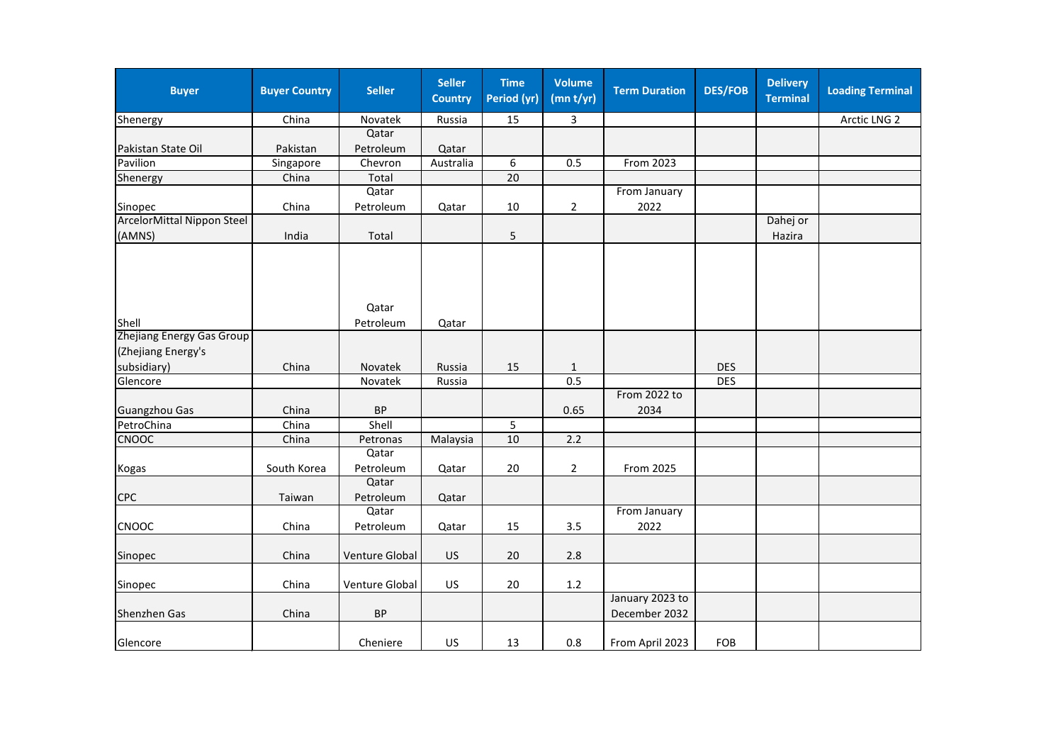| <b>Buyer</b>               | <b>Buyer Country</b> | <b>Seller</b>      | <b>Seller</b><br><b>Country</b> | <b>Time</b><br>Period (yr) | <b>Volume</b><br>(mn t/yr) | <b>Term Duration</b>             | <b>DES/FOB</b> | <b>Delivery</b><br><b>Terminal</b> | <b>Loading Terminal</b> |
|----------------------------|----------------------|--------------------|---------------------------------|----------------------------|----------------------------|----------------------------------|----------------|------------------------------------|-------------------------|
| Shenergy                   | China                | Novatek            | Russia                          | 15                         | 3                          |                                  |                |                                    | Arctic LNG 2            |
|                            |                      | Qatar              |                                 |                            |                            |                                  |                |                                    |                         |
| Pakistan State Oil         | Pakistan             | Petroleum          | Qatar                           |                            |                            |                                  |                |                                    |                         |
| Pavilion                   | Singapore            | Chevron            | Australia                       | 6                          | 0.5                        | From 2023                        |                |                                    |                         |
| Shenergy                   | China                | Total              |                                 | $\overline{20}$            |                            |                                  |                |                                    |                         |
|                            |                      | Qatar              |                                 |                            |                            | From January                     |                |                                    |                         |
| Sinopec                    | China                | Petroleum          | Qatar                           | 10                         | $\overline{2}$             | 2022                             |                |                                    |                         |
| ArcelorMittal Nippon Steel |                      |                    |                                 |                            |                            |                                  |                | Dahej or                           |                         |
| (AMNS)                     | India                | Total              |                                 | 5                          |                            |                                  |                | Hazira                             |                         |
| Shell                      |                      | Qatar<br>Petroleum | Qatar                           |                            |                            |                                  |                |                                    |                         |
| Zhejiang Energy Gas Group  |                      |                    |                                 |                            |                            |                                  |                |                                    |                         |
| (Zhejiang Energy's         |                      |                    |                                 |                            |                            |                                  |                |                                    |                         |
| subsidiary)                | China                | Novatek            | Russia                          | 15                         | $\mathbf{1}$               |                                  | <b>DES</b>     |                                    |                         |
| Glencore                   |                      | Novatek            | Russia                          |                            | 0.5                        |                                  | <b>DES</b>     |                                    |                         |
| <b>Guangzhou Gas</b>       | China                | <b>BP</b>          |                                 |                            | 0.65                       | From 2022 to<br>2034             |                |                                    |                         |
| PetroChina                 | China                | Shell              |                                 | 5                          |                            |                                  |                |                                    |                         |
| CNOOC                      | China                | Petronas           | Malaysia                        | 10                         | 2.2                        |                                  |                |                                    |                         |
| Kogas                      | South Korea          | Qatar<br>Petroleum | Qatar                           | 20                         | $\overline{2}$             | From 2025                        |                |                                    |                         |
|                            |                      | Qatar              |                                 |                            |                            |                                  |                |                                    |                         |
| <b>CPC</b>                 | Taiwan               | Petroleum          | Qatar                           |                            |                            |                                  |                |                                    |                         |
|                            |                      | Qatar              |                                 |                            |                            | From January                     |                |                                    |                         |
| CNOOC                      | China                | Petroleum          | Qatar                           | 15                         | 3.5                        | 2022                             |                |                                    |                         |
| Sinopec                    | China                | Venture Global     | US                              | 20                         | 2.8                        |                                  |                |                                    |                         |
| Sinopec                    | China                | Venture Global     | <b>US</b>                       | 20                         | 1.2                        |                                  |                |                                    |                         |
| <b>Shenzhen Gas</b>        | China                | <b>BP</b>          |                                 |                            |                            | January 2023 to<br>December 2032 |                |                                    |                         |
| Glencore                   |                      | Cheniere           | US                              | 13                         | 0.8                        | From April 2023                  | FOB            |                                    |                         |